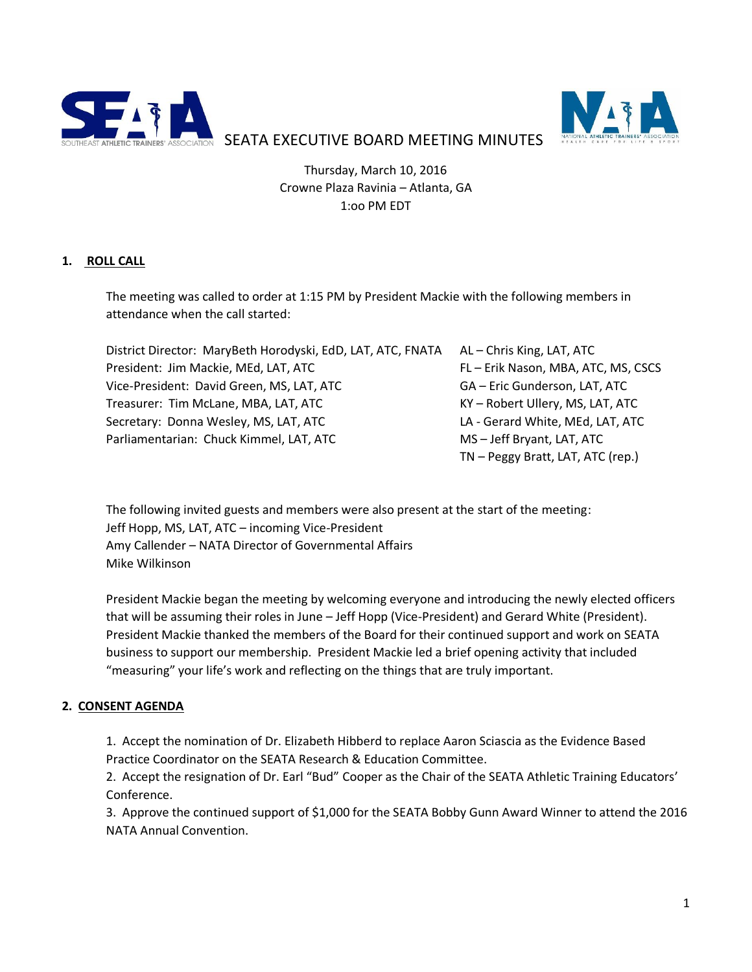



SEATA EXECUTIVE BOARD MEETING MINUTES

Thursday, March 10, 2016 Crowne Plaza Ravinia – Atlanta, GA 1:oo PM EDT

# **1. ROLL CALL**

The meeting was called to order at 1:15 PM by President Mackie with the following members in attendance when the call started:

| District Director: MaryBeth Horodyski, EdD, LAT, ATC, FNATA AL-Chris King, LAT, ATC |                                   |
|-------------------------------------------------------------------------------------|-----------------------------------|
| President: Jim Mackie, MEd, LAT, ATC                                                | FL-Erik Nason, MBA, ATC, MS, CSCS |
| Vice-President: David Green, MS, LAT, ATC                                           | GA - Eric Gunderson, LAT, ATC     |
| Treasurer: Tim McLane, MBA, LAT, ATC                                                | KY - Robert Ullery, MS, LAT, ATC  |
| Secretary: Donna Wesley, MS, LAT, ATC                                               | LA - Gerard White, MEd, LAT, ATC  |
| Parliamentarian: Chuck Kimmel, LAT, ATC                                             | MS-Jeff Bryant, LAT, ATC          |
|                                                                                     | TN - Peggy Bratt, LAT, ATC (rep.) |

The following invited guests and members were also present at the start of the meeting: Jeff Hopp, MS, LAT, ATC – incoming Vice-President Amy Callender – NATA Director of Governmental Affairs Mike Wilkinson

President Mackie began the meeting by welcoming everyone and introducing the newly elected officers that will be assuming their roles in June – Jeff Hopp (Vice-President) and Gerard White (President). President Mackie thanked the members of the Board for their continued support and work on SEATA business to support our membership. President Mackie led a brief opening activity that included "measuring" your life's work and reflecting on the things that are truly important.

# **2. CONSENT AGENDA**

1. Accept the nomination of Dr. Elizabeth Hibberd to replace Aaron Sciascia as the Evidence Based Practice Coordinator on the SEATA Research & Education Committee.

2. Accept the resignation of Dr. Earl "Bud" Cooper as the Chair of the SEATA Athletic Training Educators' Conference.

3. Approve the continued support of \$1,000 for the SEATA Bobby Gunn Award Winner to attend the 2016 NATA Annual Convention.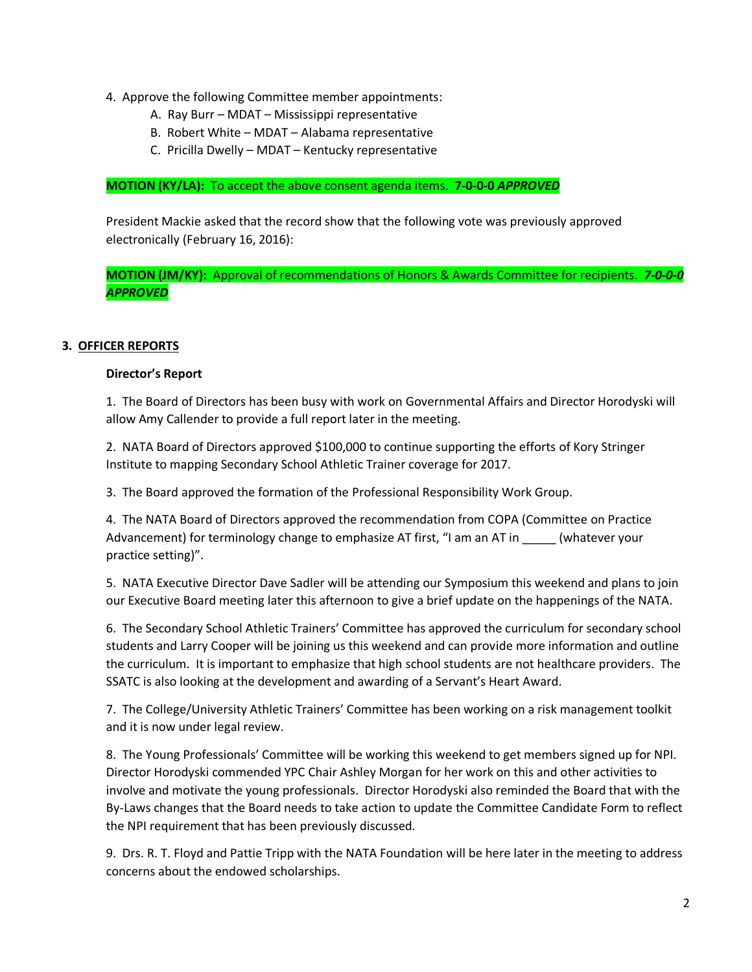- 4. Approve the following Committee member appointments:
	- A. Ray Burr MDAT Mississippi representative
	- B. Robert White MDAT Alabama representative
	- C. Pricilla Dwelly MDAT Kentucky representative

### **MOTION (KY/LA):** To accept the above consent agenda items. **7-0-0-0** *APPROVED*

President Mackie asked that the record show that the following vote was previously approved electronically (February 16, 2016):

**MOTION (JM/KY):** Approval of recommendations of Honors & Awards Committee for recipients. *7-0-0-0 APPROVED*

## **3. OFFICER REPORTS**

### **Director's Report**

1. The Board of Directors has been busy with work on Governmental Affairs and Director Horodyski will allow Amy Callender to provide a full report later in the meeting.

2. NATA Board of Directors approved \$100,000 to continue supporting the efforts of Kory Stringer Institute to mapping Secondary School Athletic Trainer coverage for 2017.

3. The Board approved the formation of the Professional Responsibility Work Group.

4. The NATA Board of Directors approved the recommendation from COPA (Committee on Practice Advancement) for terminology change to emphasize AT first, "I am an AT in \_\_\_\_\_ (whatever your practice setting)".

5. NATA Executive Director Dave Sadler will be attending our Symposium this weekend and plans to join our Executive Board meeting later this afternoon to give a brief update on the happenings of the NATA.

6. The Secondary School Athletic Trainers' Committee has approved the curriculum for secondary school students and Larry Cooper will be joining us this weekend and can provide more information and outline the curriculum. It is important to emphasize that high school students are not healthcare providers. The SSATC is also looking at the development and awarding of a Servant's Heart Award.

7. The College/University Athletic Trainers' Committee has been working on a risk management toolkit and it is now under legal review.

8. The Young Professionals' Committee will be working this weekend to get members signed up for NPI. Director Horodyski commended YPC Chair Ashley Morgan for her work on this and other activities to involve and motivate the young professionals. Director Horodyski also reminded the Board that with the By-Laws changes that the Board needs to take action to update the Committee Candidate Form to reflect the NPI requirement that has been previously discussed.

9. Drs. R. T. Floyd and Pattie Tripp with the NATA Foundation will be here later in the meeting to address concerns about the endowed scholarships.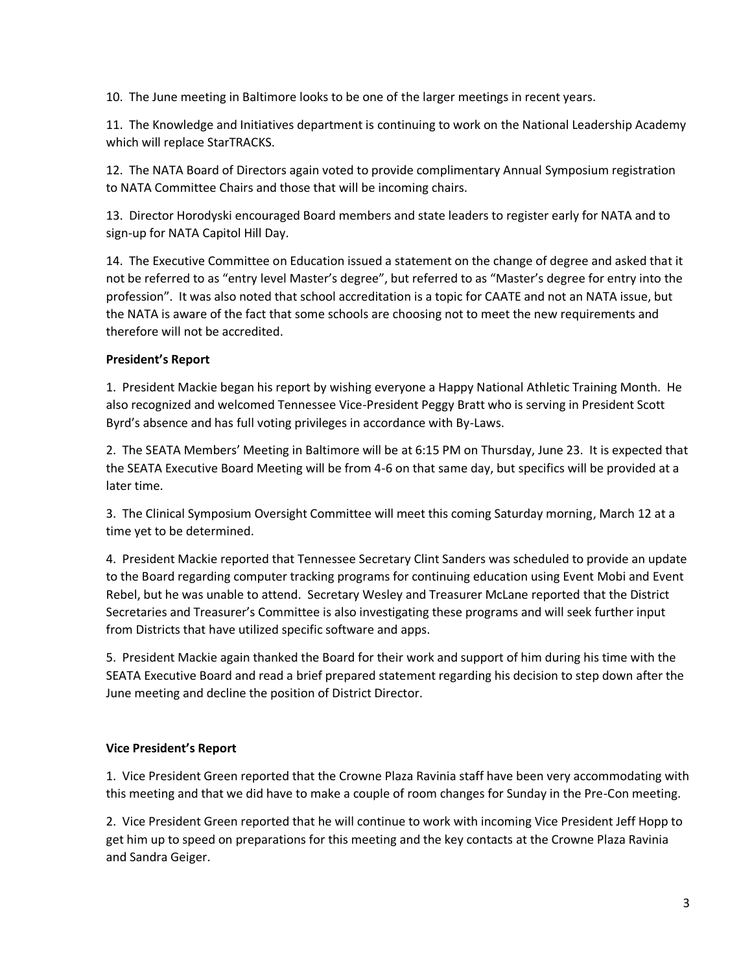10. The June meeting in Baltimore looks to be one of the larger meetings in recent years.

11. The Knowledge and Initiatives department is continuing to work on the National Leadership Academy which will replace StarTRACKS.

12. The NATA Board of Directors again voted to provide complimentary Annual Symposium registration to NATA Committee Chairs and those that will be incoming chairs.

13. Director Horodyski encouraged Board members and state leaders to register early for NATA and to sign-up for NATA Capitol Hill Day.

14. The Executive Committee on Education issued a statement on the change of degree and asked that it not be referred to as "entry level Master's degree", but referred to as "Master's degree for entry into the profession". It was also noted that school accreditation is a topic for CAATE and not an NATA issue, but the NATA is aware of the fact that some schools are choosing not to meet the new requirements and therefore will not be accredited.

# **President's Report**

1. President Mackie began his report by wishing everyone a Happy National Athletic Training Month. He also recognized and welcomed Tennessee Vice-President Peggy Bratt who is serving in President Scott Byrd's absence and has full voting privileges in accordance with By-Laws.

2. The SEATA Members' Meeting in Baltimore will be at 6:15 PM on Thursday, June 23. It is expected that the SEATA Executive Board Meeting will be from 4-6 on that same day, but specifics will be provided at a later time.

3. The Clinical Symposium Oversight Committee will meet this coming Saturday morning, March 12 at a time yet to be determined.

4. President Mackie reported that Tennessee Secretary Clint Sanders was scheduled to provide an update to the Board regarding computer tracking programs for continuing education using Event Mobi and Event Rebel, but he was unable to attend. Secretary Wesley and Treasurer McLane reported that the District Secretaries and Treasurer's Committee is also investigating these programs and will seek further input from Districts that have utilized specific software and apps.

5. President Mackie again thanked the Board for their work and support of him during his time with the SEATA Executive Board and read a brief prepared statement regarding his decision to step down after the June meeting and decline the position of District Director.

# **Vice President's Report**

1. Vice President Green reported that the Crowne Plaza Ravinia staff have been very accommodating with this meeting and that we did have to make a couple of room changes for Sunday in the Pre-Con meeting.

2. Vice President Green reported that he will continue to work with incoming Vice President Jeff Hopp to get him up to speed on preparations for this meeting and the key contacts at the Crowne Plaza Ravinia and Sandra Geiger.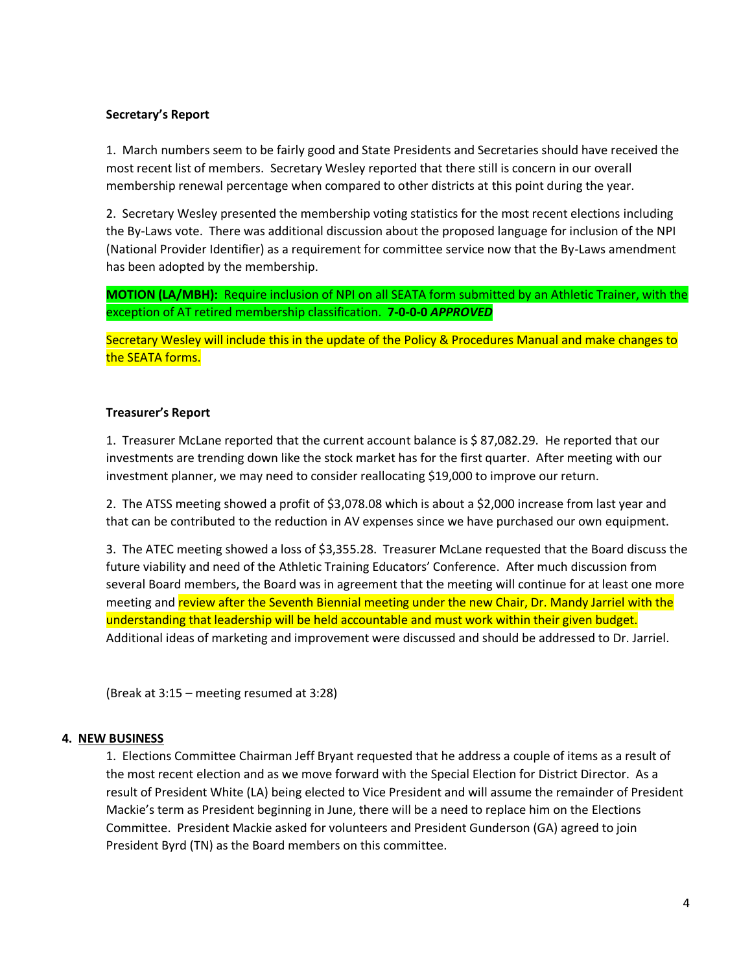## **Secretary's Report**

1. March numbers seem to be fairly good and State Presidents and Secretaries should have received the most recent list of members. Secretary Wesley reported that there still is concern in our overall membership renewal percentage when compared to other districts at this point during the year.

2.Secretary Wesley presented the membership voting statistics for the most recent elections including the By-Laws vote. There was additional discussion about the proposed language for inclusion of the NPI (National Provider Identifier) as a requirement for committee service now that the By-Laws amendment has been adopted by the membership.

**MOTION (LA/MBH):** Require inclusion of NPI on all SEATA form submitted by an Athletic Trainer, with the exception of AT retired membership classification. **7-0-0-0** *APPROVED*

Secretary Wesley will include this in the update of the Policy & Procedures Manual and make changes to the SEATA forms.

## **Treasurer's Report**

1. Treasurer McLane reported that the current account balance is \$ 87,082.29. He reported that our investments are trending down like the stock market has for the first quarter. After meeting with our investment planner, we may need to consider reallocating \$19,000 to improve our return.

2. The ATSS meeting showed a profit of \$3,078.08 which is about a \$2,000 increase from last year and that can be contributed to the reduction in AV expenses since we have purchased our own equipment.

3. The ATEC meeting showed a loss of \$3,355.28. Treasurer McLane requested that the Board discuss the future viability and need of the Athletic Training Educators' Conference. After much discussion from several Board members, the Board was in agreement that the meeting will continue for at least one more meeting and review after the Seventh Biennial meeting under the new Chair, Dr. Mandy Jarriel with the understanding that leadership will be held accountable and must work within their given budget. Additional ideas of marketing and improvement were discussed and should be addressed to Dr. Jarriel.

(Break at 3:15 – meeting resumed at 3:28)

## **4. NEW BUSINESS**

1. Elections Committee Chairman Jeff Bryant requested that he address a couple of items as a result of the most recent election and as we move forward with the Special Election for District Director. As a result of President White (LA) being elected to Vice President and will assume the remainder of President Mackie's term as President beginning in June, there will be a need to replace him on the Elections Committee. President Mackie asked for volunteers and President Gunderson (GA) agreed to join President Byrd (TN) as the Board members on this committee.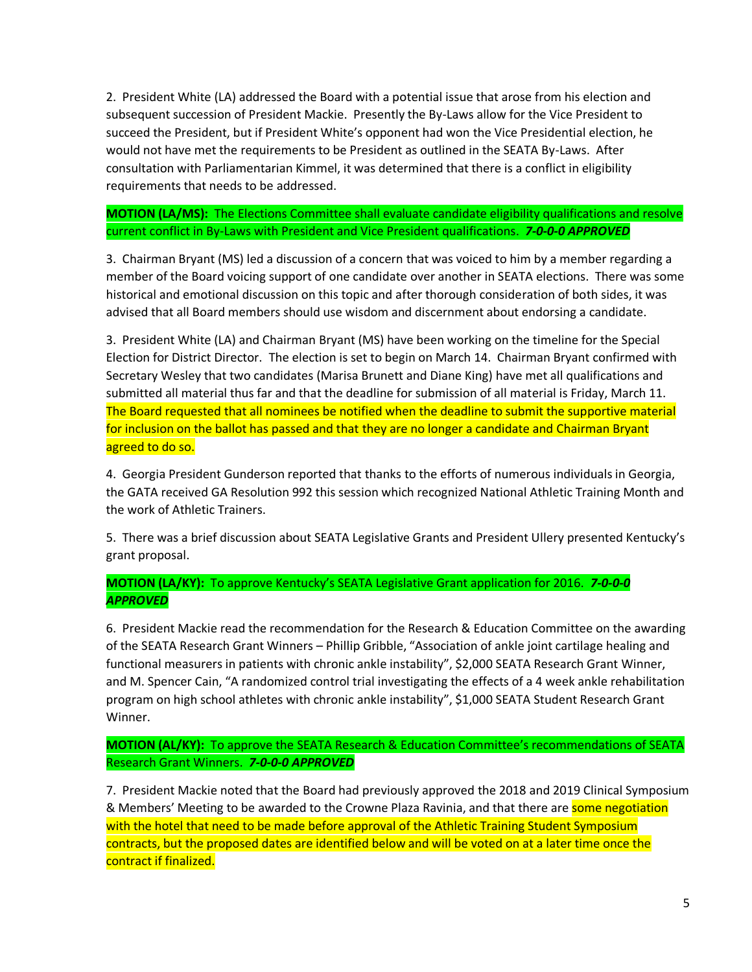2. President White (LA) addressed the Board with a potential issue that arose from his election and subsequent succession of President Mackie. Presently the By-Laws allow for the Vice President to succeed the President, but if President White's opponent had won the Vice Presidential election, he would not have met the requirements to be President as outlined in the SEATA By-Laws. After consultation with Parliamentarian Kimmel, it was determined that there is a conflict in eligibility requirements that needs to be addressed.

# **MOTION (LA/MS):** The Elections Committee shall evaluate candidate eligibility qualifications and resolve current conflict in By-Laws with President and Vice President qualifications. *7-0-0-0 APPROVED*

3. Chairman Bryant (MS) led a discussion of a concern that was voiced to him by a member regarding a member of the Board voicing support of one candidate over another in SEATA elections. There was some historical and emotional discussion on this topic and after thorough consideration of both sides, it was advised that all Board members should use wisdom and discernment about endorsing a candidate.

3. President White (LA) and Chairman Bryant (MS) have been working on the timeline for the Special Election for District Director. The election is set to begin on March 14. Chairman Bryant confirmed with Secretary Wesley that two candidates (Marisa Brunett and Diane King) have met all qualifications and submitted all material thus far and that the deadline for submission of all material is Friday, March 11. The Board requested that all nominees be notified when the deadline to submit the supportive material for inclusion on the ballot has passed and that they are no longer a candidate and Chairman Bryant agreed to do so.

4. Georgia President Gunderson reported that thanks to the efforts of numerous individuals in Georgia, the GATA received GA Resolution 992 this session which recognized National Athletic Training Month and the work of Athletic Trainers.

5. There was a brief discussion about SEATA Legislative Grants and President Ullery presented Kentucky's grant proposal.

# **MOTION (LA/KY):** To approve Kentucky's SEATA Legislative Grant application for 2016. *7-0-0-0 APPROVED*

6. President Mackie read the recommendation for the Research & Education Committee on the awarding of the SEATA Research Grant Winners – Phillip Gribble, "Association of ankle joint cartilage healing and functional measurers in patients with chronic ankle instability", \$2,000 SEATA Research Grant Winner, and M. Spencer Cain, "A randomized control trial investigating the effects of a 4 week ankle rehabilitation program on high school athletes with chronic ankle instability", \$1,000 SEATA Student Research Grant Winner.

**MOTION (AL/KY):** To approve the SEATA Research & Education Committee's recommendations of SEATA Research Grant Winners. *7-0-0-0 APPROVED*

7. President Mackie noted that the Board had previously approved the 2018 and 2019 Clinical Symposium & Members' Meeting to be awarded to the Crowne Plaza Ravinia, and that there are some negotiation with the hotel that need to be made before approval of the Athletic Training Student Symposium contracts, but the proposed dates are identified below and will be voted on at a later time once the contract if finalized.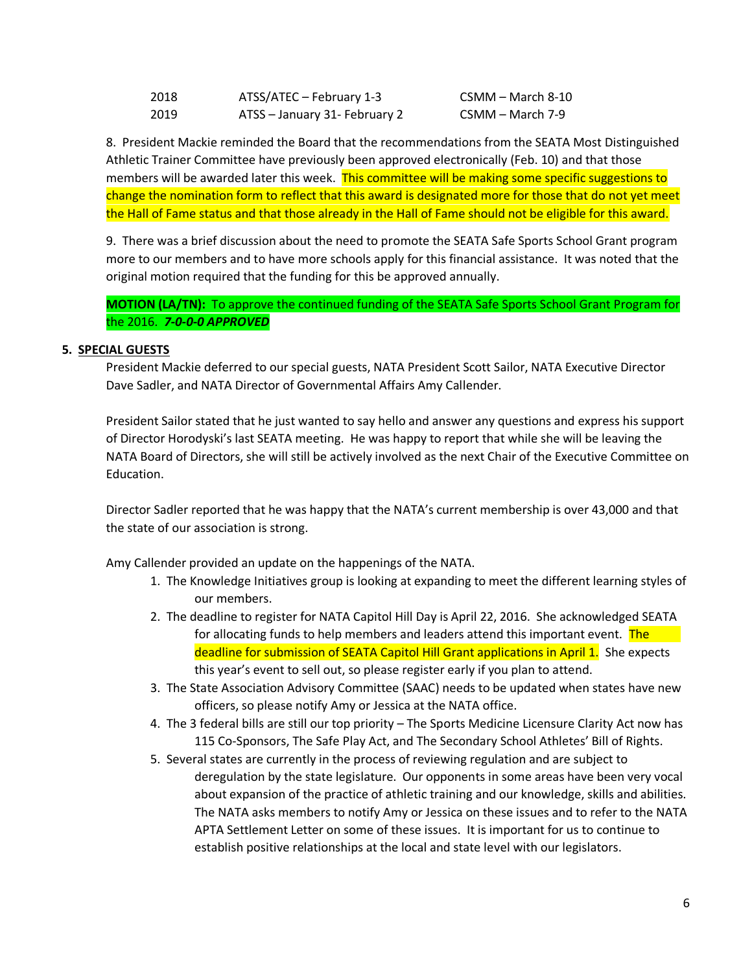| 2018 | ATSS/ATEC - February 1-3      |
|------|-------------------------------|
| 2019 | ATSS - January 31- February 2 |

 $CSMM - March 8-10$  $CSMM - March 7-9$ 

8. President Mackie reminded the Board that the recommendations from the SEATA Most Distinguished Athletic Trainer Committee have previously been approved electronically (Feb. 10) and that those members will be awarded later this week. This committee will be making some specific suggestions to change the nomination form to reflect that this award is designated more for those that do not yet meet the Hall of Fame status and that those already in the Hall of Fame should not be eligible for this award.

9. There was a brief discussion about the need to promote the SEATA Safe Sports School Grant program more to our members and to have more schools apply for this financial assistance. It was noted that the original motion required that the funding for this be approved annually.

**MOTION (LA/TN):** To approve the continued funding of the SEATA Safe Sports School Grant Program for the 2016. *7-0-0-0 APPROVED*

## **5. SPECIAL GUESTS**

President Mackie deferred to our special guests, NATA President Scott Sailor, NATA Executive Director Dave Sadler, and NATA Director of Governmental Affairs Amy Callender.

President Sailor stated that he just wanted to say hello and answer any questions and express his support of Director Horodyski's last SEATA meeting. He was happy to report that while she will be leaving the NATA Board of Directors, she will still be actively involved as the next Chair of the Executive Committee on Education.

Director Sadler reported that he was happy that the NATA's current membership is over 43,000 and that the state of our association is strong.

Amy Callender provided an update on the happenings of the NATA.

- 1. The Knowledge Initiatives group is looking at expanding to meet the different learning styles of our members.
- 2. The deadline to register for NATA Capitol Hill Day is April 22, 2016. She acknowledged SEATA for allocating funds to help members and leaders attend this important event. The deadline for submission of SEATA Capitol Hill Grant applications in April 1. She expects this year's event to sell out, so please register early if you plan to attend.
- 3. The State Association Advisory Committee (SAAC) needs to be updated when states have new officers, so please notify Amy or Jessica at the NATA office.
- 4. The 3 federal bills are still our top priority The Sports Medicine Licensure Clarity Act now has 115 Co-Sponsors, The Safe Play Act, and The Secondary School Athletes' Bill of Rights.
- 5. Several states are currently in the process of reviewing regulation and are subject to deregulation by the state legislature. Our opponents in some areas have been very vocal about expansion of the practice of athletic training and our knowledge, skills and abilities. The NATA asks members to notify Amy or Jessica on these issues and to refer to the NATA APTA Settlement Letter on some of these issues. It is important for us to continue to establish positive relationships at the local and state level with our legislators.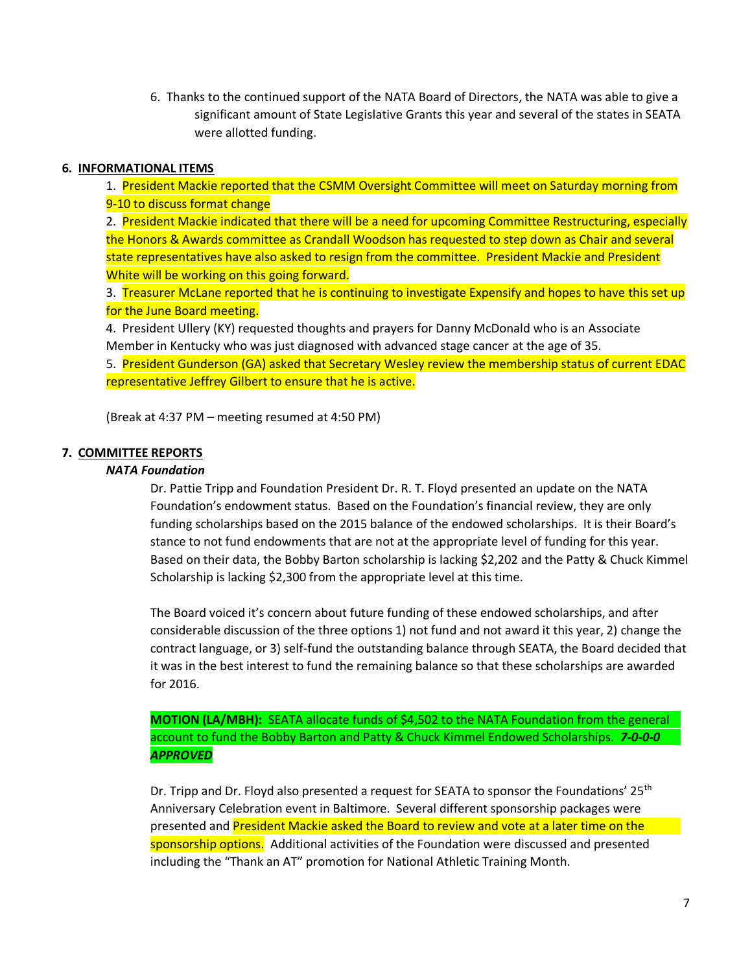6. Thanks to the continued support of the NATA Board of Directors, the NATA was able to give a significant amount of State Legislative Grants this year and several of the states in SEATA were allotted funding.

## **6. INFORMATIONAL ITEMS**

1. President Mackie reported that the CSMM Oversight Committee will meet on Saturday morning from 9-10 to discuss format change

2. President Mackie indicated that there will be a need for upcoming Committee Restructuring, especially the Honors & Awards committee as Crandall Woodson has requested to step down as Chair and several state representatives have also asked to resign from the committee. President Mackie and President White will be working on this going forward.

3. Treasurer McLane reported that he is continuing to investigate Expensify and hopes to have this set up for the June Board meeting.

4. President Ullery (KY) requested thoughts and prayers for Danny McDonald who is an Associate Member in Kentucky who was just diagnosed with advanced stage cancer at the age of 35.

5. President Gunderson (GA) asked that Secretary Wesley review the membership status of current EDAC representative Jeffrey Gilbert to ensure that he is active.

(Break at 4:37 PM – meeting resumed at 4:50 PM)

## **7. COMMITTEE REPORTS**

### *NATA Foundation*

Dr. Pattie Tripp and Foundation President Dr. R. T. Floyd presented an update on the NATA Foundation's endowment status. Based on the Foundation's financial review, they are only funding scholarships based on the 2015 balance of the endowed scholarships. It is their Board's stance to not fund endowments that are not at the appropriate level of funding for this year. Based on their data, the Bobby Barton scholarship is lacking \$2,202 and the Patty & Chuck Kimmel Scholarship is lacking \$2,300 from the appropriate level at this time.

The Board voiced it's concern about future funding of these endowed scholarships, and after considerable discussion of the three options 1) not fund and not award it this year, 2) change the contract language, or 3) self-fund the outstanding balance through SEATA, the Board decided that it was in the best interest to fund the remaining balance so that these scholarships are awarded for 2016.

**MOTION (LA/MBH):** SEATA allocate funds of \$4,502 to the NATA Foundation from the general account to fund the Bobby Barton and Patty & Chuck Kimmel Endowed Scholarships. *7-0-0-0 APPROVED*

Dr. Tripp and Dr. Floyd also presented a request for SEATA to sponsor the Foundations'  $25<sup>th</sup>$ Anniversary Celebration event in Baltimore. Several different sponsorship packages were presented and President Mackie asked the Board to review and vote at a later time on the sponsorship options. Additional activities of the Foundation were discussed and presented including the "Thank an AT" promotion for National Athletic Training Month.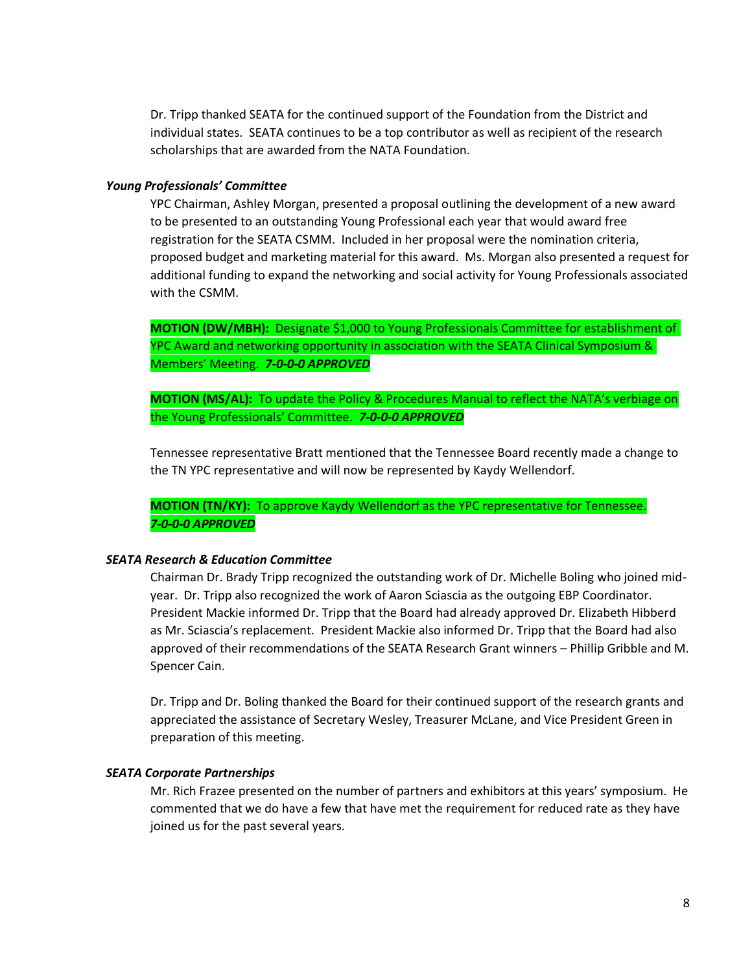Dr. Tripp thanked SEATA for the continued support of the Foundation from the District and individual states. SEATA continues to be a top contributor as well as recipient of the research scholarships that are awarded from the NATA Foundation.

#### *Young Professionals' Committee*

YPC Chairman, Ashley Morgan, presented a proposal outlining the development of a new award to be presented to an outstanding Young Professional each year that would award free registration for the SEATA CSMM. Included in her proposal were the nomination criteria, proposed budget and marketing material for this award. Ms. Morgan also presented a request for additional funding to expand the networking and social activity for Young Professionals associated with the CSMM.

**MOTION (DW/MBH):** Designate \$1,000 to Young Professionals Committee for establishment of YPC Award and networking opportunity in association with the SEATA Clinical Symposium & Members' Meeting. *7-0-0-0 APPROVED*

**MOTION (MS/AL):** To update the Policy & Procedures Manual to reflect the NATA's verbiage on the Young Professionals' Committee. *7-0-0-0 APPROVED*

Tennessee representative Bratt mentioned that the Tennessee Board recently made a change to the TN YPC representative and will now be represented by Kaydy Wellendorf.

**MOTION (TN/KY):** To approve Kaydy Wellendorf as the YPC representative for Tennessee. *7-0-0-0 APPROVED*

#### *SEATA Research & Education Committee*

Chairman Dr. Brady Tripp recognized the outstanding work of Dr. Michelle Boling who joined midyear. Dr. Tripp also recognized the work of Aaron Sciascia as the outgoing EBP Coordinator. President Mackie informed Dr. Tripp that the Board had already approved Dr. Elizabeth Hibberd as Mr. Sciascia's replacement. President Mackie also informed Dr. Tripp that the Board had also approved of their recommendations of the SEATA Research Grant winners – Phillip Gribble and M. Spencer Cain.

Dr. Tripp and Dr. Boling thanked the Board for their continued support of the research grants and appreciated the assistance of Secretary Wesley, Treasurer McLane, and Vice President Green in preparation of this meeting.

#### *SEATA Corporate Partnerships*

Mr. Rich Frazee presented on the number of partners and exhibitors at this years' symposium. He commented that we do have a few that have met the requirement for reduced rate as they have joined us for the past several years.